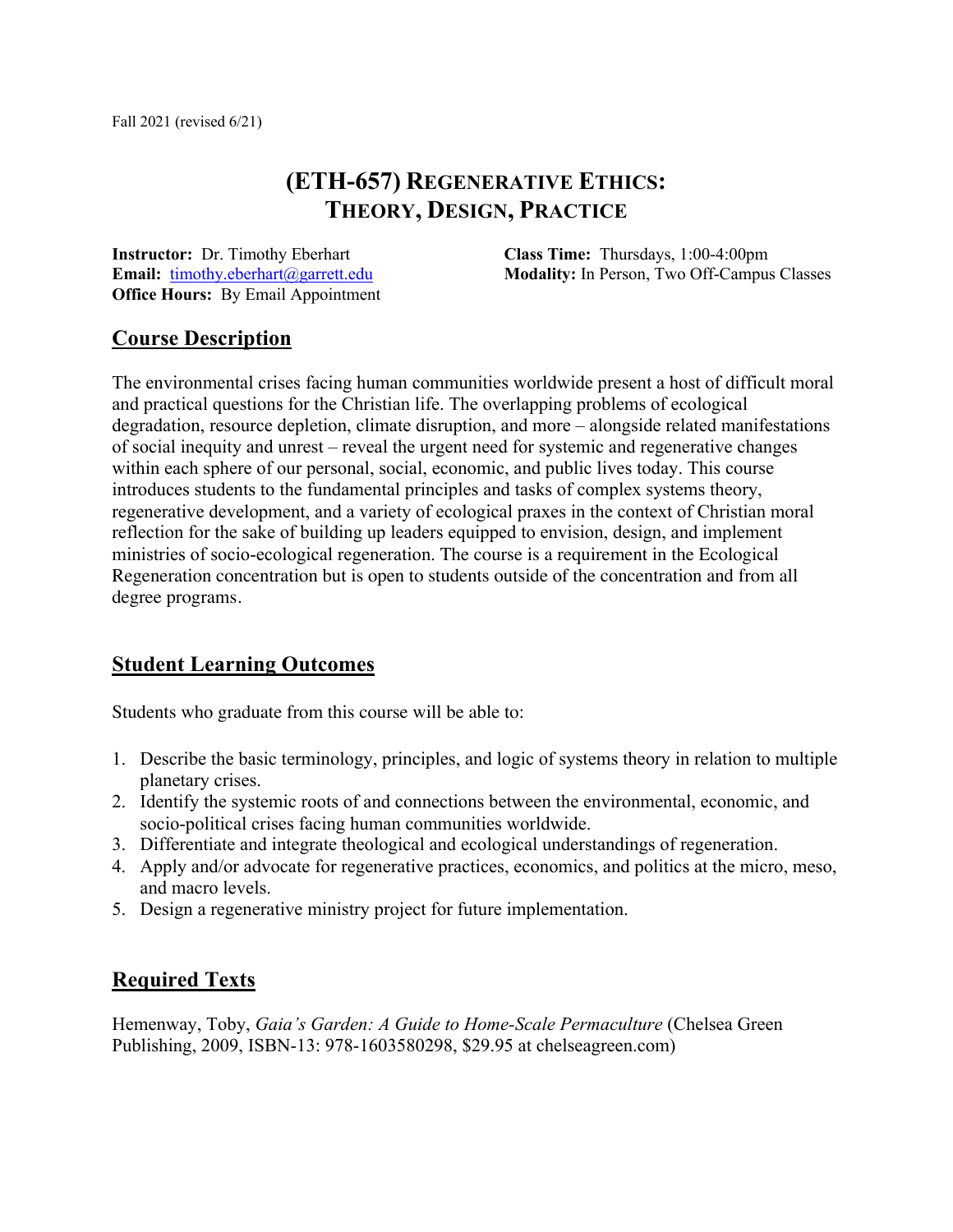# **(ETH-657) REGENERATIVE ETHICS: THEORY, DESIGN, PRACTICE**

**Instructor:** Dr. Timothy Eberhart **Email:** timothy.eberhart@garrett.edu **Office Hours:** By Email Appointment **Class Time:** Thursdays, 1:00-4:00pm **Modality:** In Person, Two Off-Campus Classes

# **Course Description**

The environmental crises facing human communities worldwide present a host of difficult moral and practical questions for the Christian life. The overlapping problems of ecological degradation, resource depletion, climate disruption, and more – alongside related manifestations of social inequity and unrest – reveal the urgent need for systemic and regenerative changes within each sphere of our personal, social, economic, and public lives today. This course introduces students to the fundamental principles and tasks of complex systems theory, regenerative development, and a variety of ecological praxes in the context of Christian moral reflection for the sake of building up leaders equipped to envision, design, and implement ministries of socio-ecological regeneration. The course is a requirement in the Ecological Regeneration concentration but is open to students outside of the concentration and from all degree programs.

# **Student Learning Outcomes**

Students who graduate from this course will be able to:

- 1. Describe the basic terminology, principles, and logic of systems theory in relation to multiple planetary crises.
- 2. Identify the systemic roots of and connections between the environmental, economic, and socio-political crises facing human communities worldwide.
- 3. Differentiate and integrate theological and ecological understandings of regeneration.
- 4. Apply and/or advocate for regenerative practices, economics, and politics at the micro, meso, and macro levels.
- 5. Design a regenerative ministry project for future implementation.

# **Required Texts**

Hemenway, Toby, *Gaia's Garden: A Guide to Home-Scale Permaculture* (Chelsea Green Publishing, 2009, ISBN-13: 978-1603580298, \$29.95 at chelseagreen.com)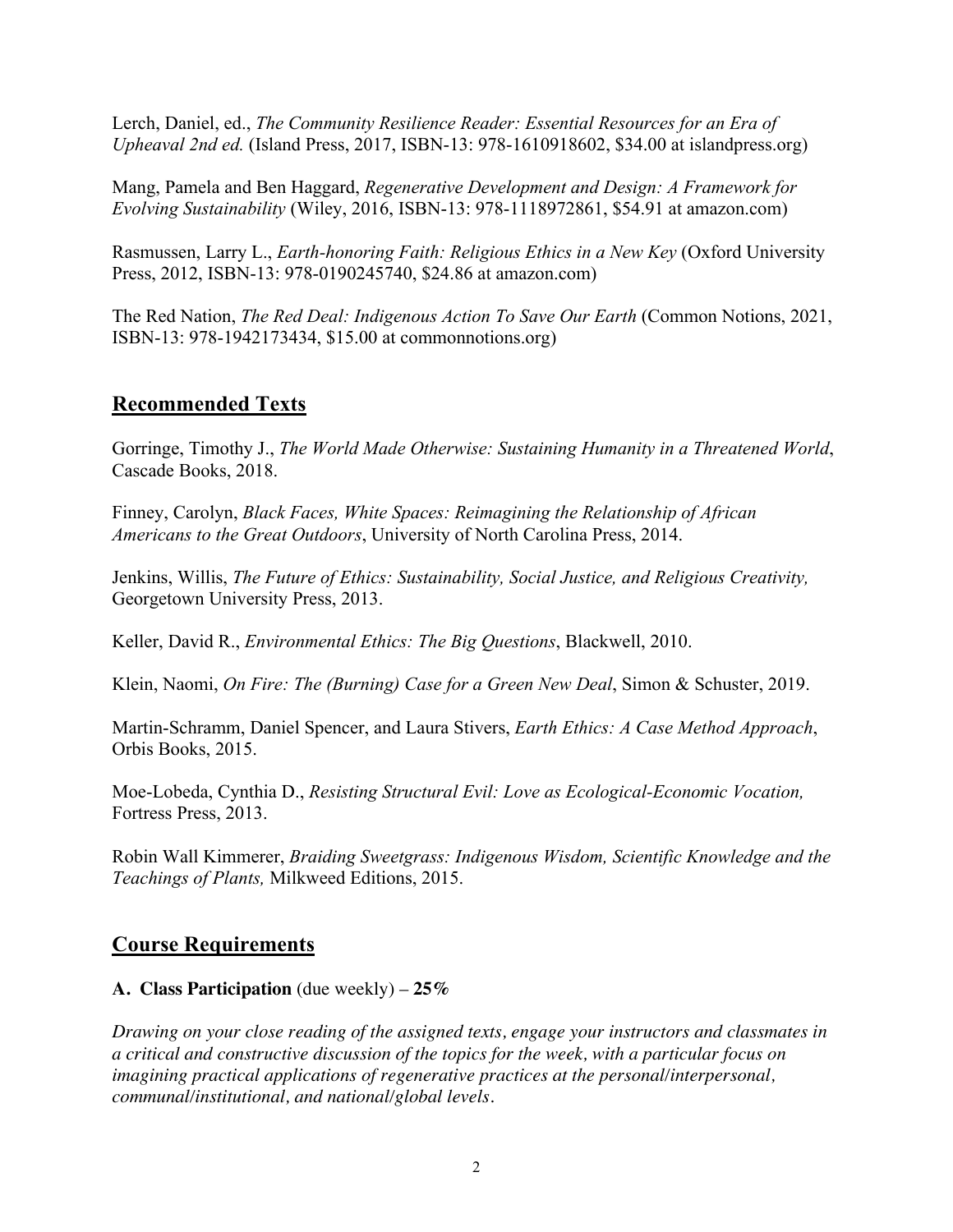Lerch, Daniel, ed., *The Community Resilience Reader: Essential Resources for an Era of Upheaval 2nd ed.* (Island Press, 2017, ISBN-13: 978-1610918602, \$34.00 at islandpress.org)

Mang, Pamela and Ben Haggard, *Regenerative Development and Design: A Framework for Evolving Sustainability* (Wiley, 2016, ISBN-13: 978-1118972861, \$54.91 at amazon.com)

Rasmussen, Larry L., *Earth-honoring Faith: Religious Ethics in a New Key* (Oxford University Press, 2012, ISBN-13: 978-0190245740, \$24.86 at amazon.com)

The Red Nation, *The Red Deal: Indigenous Action To Save Our Earth* (Common Notions, 2021, ISBN-13: 978-1942173434, \$15.00 at commonnotions.org)

# **Recommended Texts**

Gorringe, Timothy J., *The World Made Otherwise: Sustaining Humanity in a Threatened World*, Cascade Books, 2018.

Finney, Carolyn, *Black Faces, White Spaces: Reimagining the Relationship of African Americans to the Great Outdoors*, University of North Carolina Press, 2014.

Jenkins, Willis, *The Future of Ethics: Sustainability, Social Justice, and Religious Creativity,*  Georgetown University Press, 2013.

Keller, David R., *Environmental Ethics: The Big Questions*, Blackwell, 2010.

Klein, Naomi, *On Fire: The (Burning) Case for a Green New Deal*, Simon & Schuster, 2019.

Martin-Schramm, Daniel Spencer, and Laura Stivers, *Earth Ethics: A Case Method Approach*, Orbis Books, 2015.

Moe-Lobeda, Cynthia D., *Resisting Structural Evil: Love as Ecological-Economic Vocation,*  Fortress Press, 2013.

Robin Wall Kimmerer, *Braiding Sweetgrass: Indigenous Wisdom, Scientific Knowledge and the Teachings of Plants,* Milkweed Editions, 2015.

# **Course Requirements**

# **A. Class Participation** (due weekly) – **25%**

*Drawing on your close reading of the assigned texts, engage your instructors and classmates in a critical and constructive discussion of the topics for the week, with a particular focus on imagining practical applications of regenerative practices at the personal/interpersonal, communal/institutional, and national/global levels.*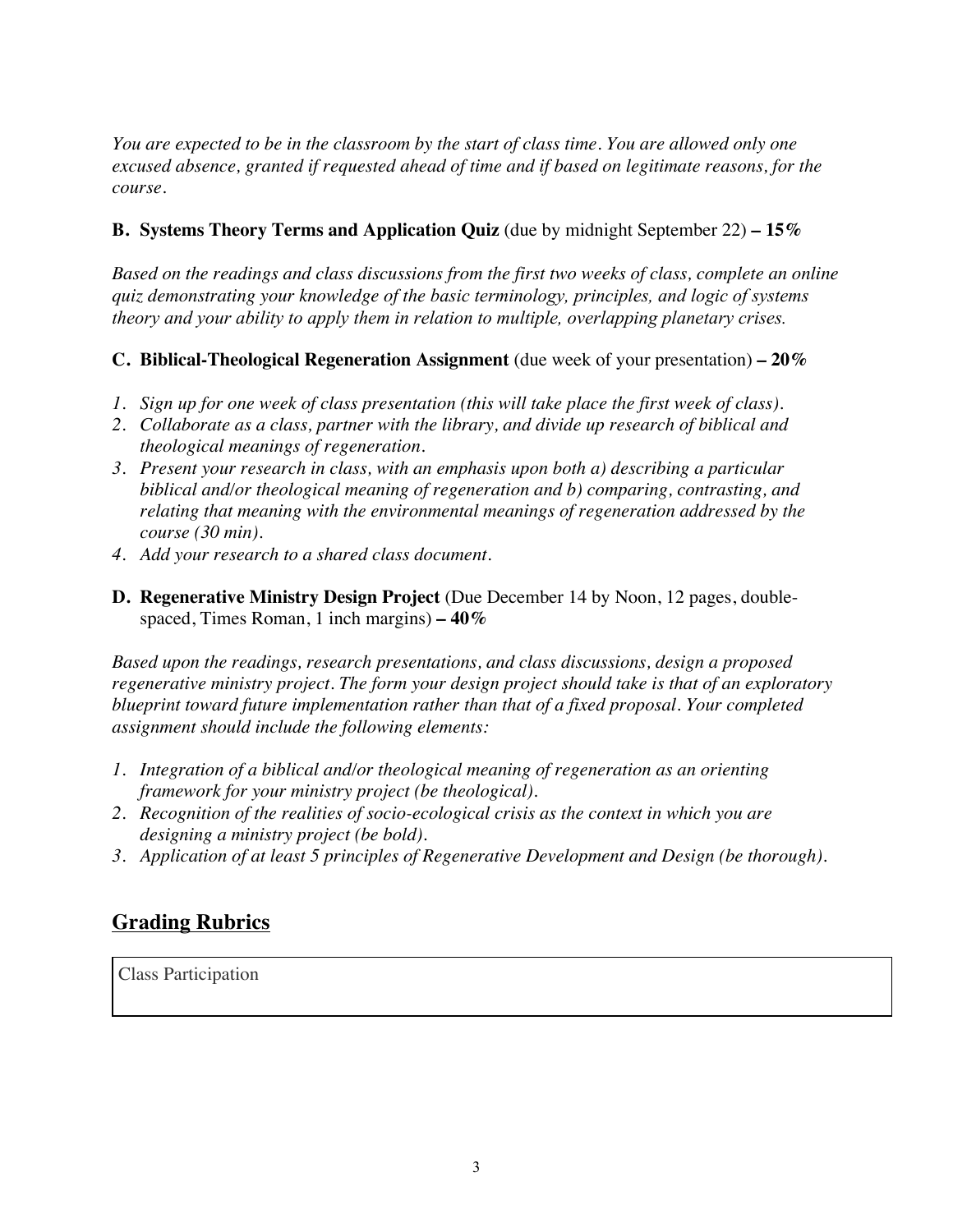*You are expected to be in the classroom by the start of class time. You are allowed only one excused absence, granted if requested ahead of time and if based on legitimate reasons, for the course.* 

# **B. Systems Theory Terms and Application Quiz** (due by midnight September 22) **– 15%**

*Based on the readings and class discussions from the first two weeks of class, complete an online quiz demonstrating your knowledge of the basic terminology, principles, and logic of systems theory and your ability to apply them in relation to multiple, overlapping planetary crises.* 

# **C. Biblical-Theological Regeneration Assignment** (due week of your presentation) **– 20%**

- *1. Sign up for one week of class presentation (this will take place the first week of class).*
- *2. Collaborate as a class, partner with the library, and divide up research of biblical and theological meanings of regeneration.*
- *3. Present your research in class, with an emphasis upon both a) describing a particular biblical and/or theological meaning of regeneration and b) comparing, contrasting, and relating that meaning with the environmental meanings of regeneration addressed by the course (30 min).*
- *4. Add your research to a shared class document.*
- **D. Regenerative Ministry Design Project** (Due December 14 by Noon, 12 pages, doublespaced, Times Roman, 1 inch margins) **– 40%**

*Based upon the readings, research presentations, and class discussions, design a proposed regenerative ministry project. The form your design project should take is that of an exploratory blueprint toward future implementation rather than that of a fixed proposal. Your completed assignment should include the following elements:* 

- *1. Integration of a biblical and/or theological meaning of regeneration as an orienting framework for your ministry project (be theological).*
- *2. Recognition of the realities of socio-ecological crisis as the context in which you are designing a ministry project (be bold).*
- *3. Application of at least 5 principles of Regenerative Development and Design (be thorough).*

# **Grading Rubrics**

Class Participation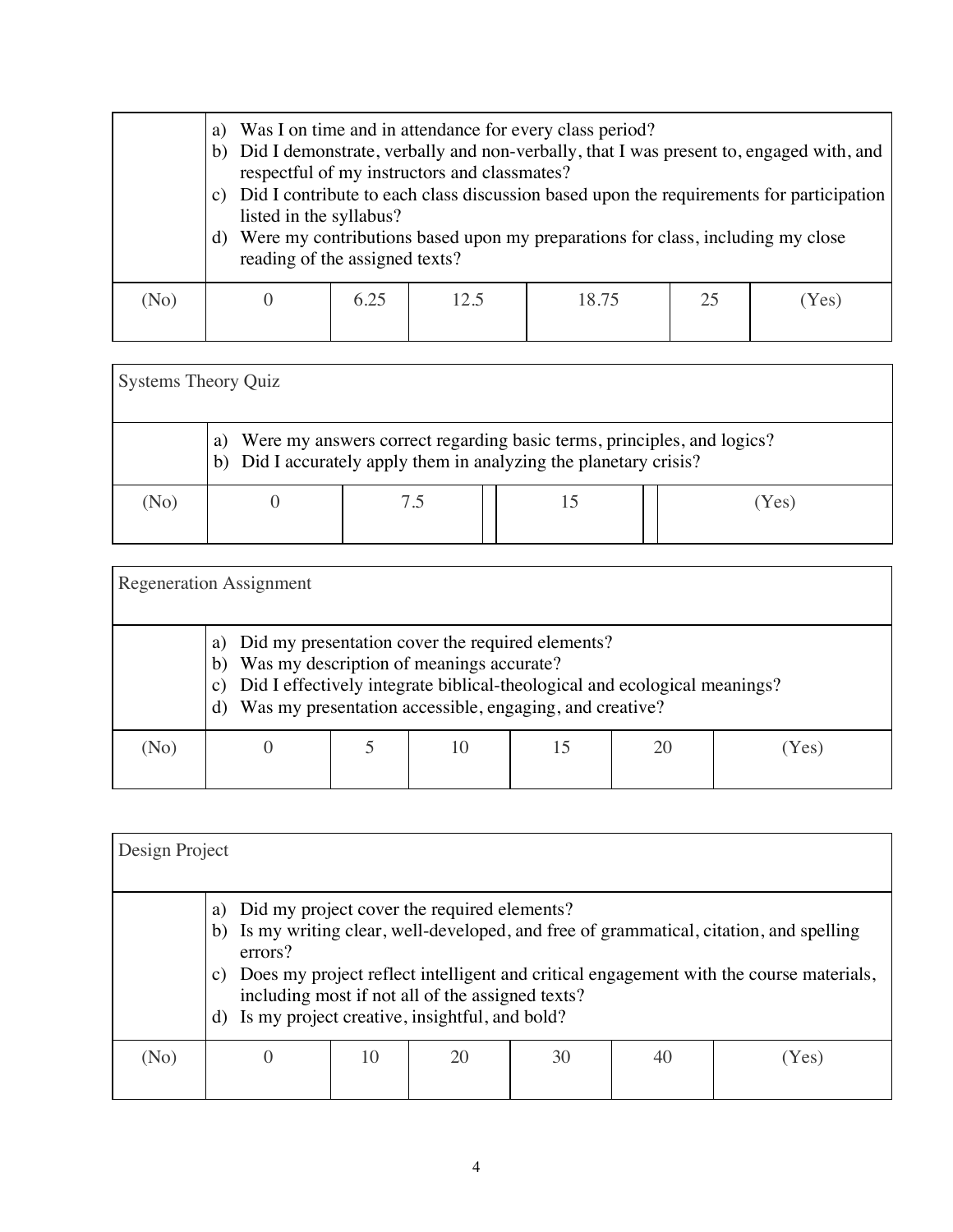|      | a)<br>C)<br>listed in the syllabus?<br>d)<br>reading of the assigned texts? |      | respectful of my instructors and classmates? | Was I on time and in attendance for every class period?<br>b) Did I demonstrate, verbally and non-verbally, that I was present to, engaged with, and<br>Did I contribute to each class discussion based upon the requirements for participation<br>Were my contributions based upon my preparations for class, including my close |    |       |
|------|-----------------------------------------------------------------------------|------|----------------------------------------------|-----------------------------------------------------------------------------------------------------------------------------------------------------------------------------------------------------------------------------------------------------------------------------------------------------------------------------------|----|-------|
| (No) |                                                                             | 6.25 | 12.5                                         | 18.75                                                                                                                                                                                                                                                                                                                             | 25 | (Yes) |

| Systems Theory Quiz |                                                                                                                                                   |     |  |     |  |  |  |
|---------------------|---------------------------------------------------------------------------------------------------------------------------------------------------|-----|--|-----|--|--|--|
|                     | Were my answers correct regarding basic terms, principles, and logics?<br>a)<br>b) Did I accurately apply them in analyzing the planetary crisis? |     |  |     |  |  |  |
| (No)                |                                                                                                                                                   | 7.5 |  | Yes |  |  |  |

| <b>Regeneration Assignment</b> |                                                                                                                                                                                                                                                                       |  |  |  |  |     |  |
|--------------------------------|-----------------------------------------------------------------------------------------------------------------------------------------------------------------------------------------------------------------------------------------------------------------------|--|--|--|--|-----|--|
|                                | a) Did my presentation cover the required elements?<br>Was my description of meanings accurate?<br>b)<br>Did I effectively integrate biblical-theological and ecological meanings?<br>$\mathbf{c}$ )<br>Was my presentation accessible, engaging, and creative?<br>d) |  |  |  |  |     |  |
| (No)                           |                                                                                                                                                                                                                                                                       |  |  |  |  | Yes |  |

| Design Project |                                                                                                                                                                                                                                                                                                                                                                       |    |    |    |    |      |  |
|----------------|-----------------------------------------------------------------------------------------------------------------------------------------------------------------------------------------------------------------------------------------------------------------------------------------------------------------------------------------------------------------------|----|----|----|----|------|--|
|                | Did my project cover the required elements?<br>a)<br>Is my writing clear, well-developed, and free of grammatical, citation, and spelling<br>b)<br>errors?<br>Does my project reflect intelligent and critical engagement with the course materials,<br>C)<br>including most if not all of the assigned texts?<br>Is my project creative, insightful, and bold?<br>d) |    |    |    |    |      |  |
| (No)           | $\theta$                                                                                                                                                                                                                                                                                                                                                              | 10 | 20 | 30 | 40 | Yes) |  |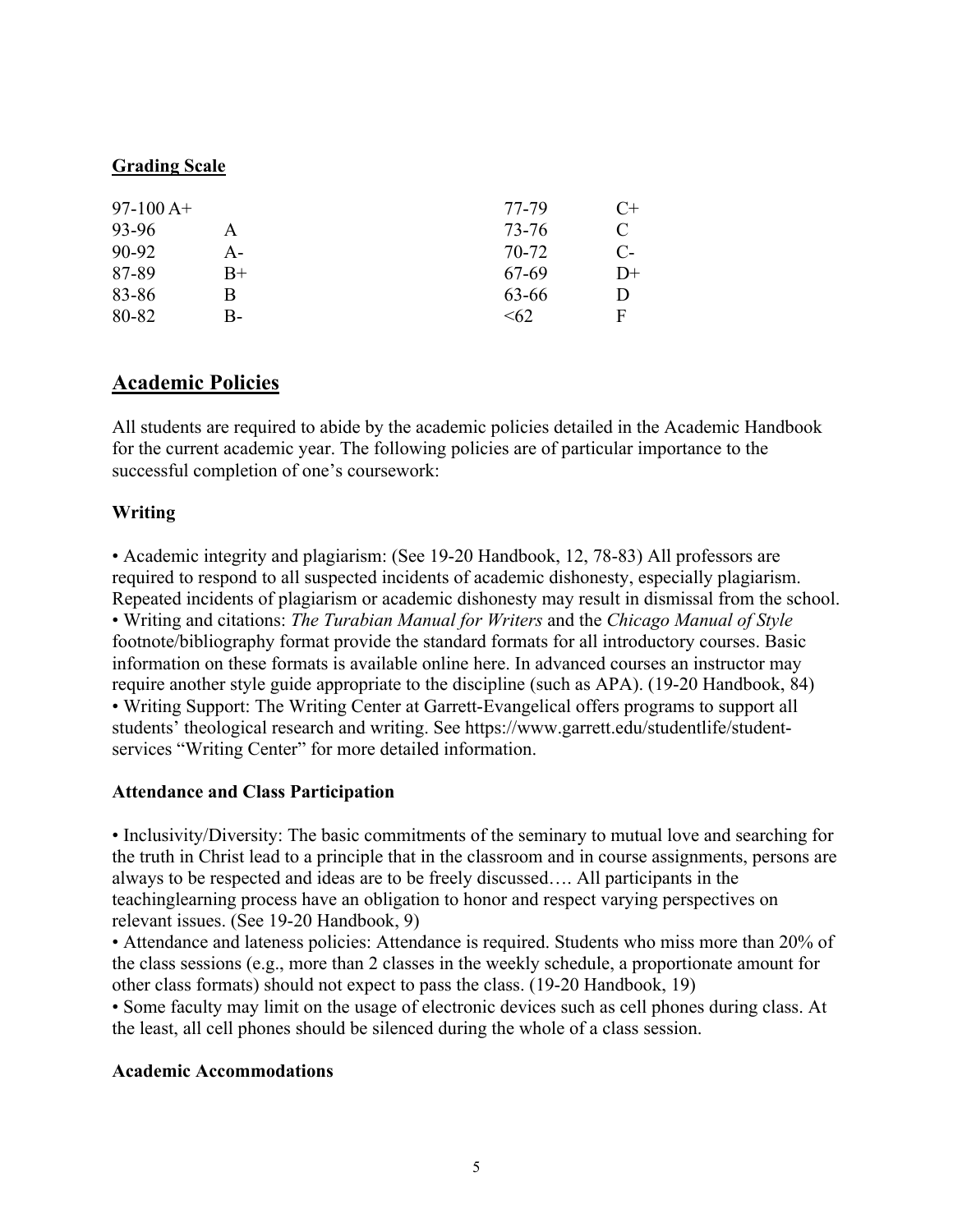### **Grading Scale**

| $97-100A+$ |      | 77-79 | $C+$ |
|------------|------|-------|------|
| 93-96      | A    | 73-76 | C    |
| 90-92      | А-   | 70-72 | $C-$ |
| 87-89      | $B+$ | 67-69 | $D+$ |
| 83-86      | В    | 63-66 | D    |
| 80-82      | B-   | <62   | F    |

# **Academic Policies**

All students are required to abide by the academic policies detailed in the Academic Handbook for the current academic year. The following policies are of particular importance to the successful completion of one's coursework:

### **Writing**

• Academic integrity and plagiarism: (See 19-20 Handbook, 12, 78-83) All professors are required to respond to all suspected incidents of academic dishonesty, especially plagiarism. Repeated incidents of plagiarism or academic dishonesty may result in dismissal from the school. • Writing and citations: *The Turabian Manual for Writers* and the *Chicago Manual of Style* footnote/bibliography format provide the standard formats for all introductory courses. Basic information on these formats is available online here. In advanced courses an instructor may require another style guide appropriate to the discipline (such as APA). (19-20 Handbook, 84) • Writing Support: The Writing Center at Garrett-Evangelical offers programs to support all students' theological research and writing. See https://www.garrett.edu/studentlife/studentservices "Writing Center" for more detailed information.

### **Attendance and Class Participation**

• Inclusivity/Diversity: The basic commitments of the seminary to mutual love and searching for the truth in Christ lead to a principle that in the classroom and in course assignments, persons are always to be respected and ideas are to be freely discussed…. All participants in the teachinglearning process have an obligation to honor and respect varying perspectives on relevant issues. (See 19-20 Handbook, 9)

• Attendance and lateness policies: Attendance is required. Students who miss more than 20% of the class sessions (e.g., more than 2 classes in the weekly schedule, a proportionate amount for other class formats) should not expect to pass the class. (19-20 Handbook, 19)

• Some faculty may limit on the usage of electronic devices such as cell phones during class. At the least, all cell phones should be silenced during the whole of a class session.

### **Academic Accommodations**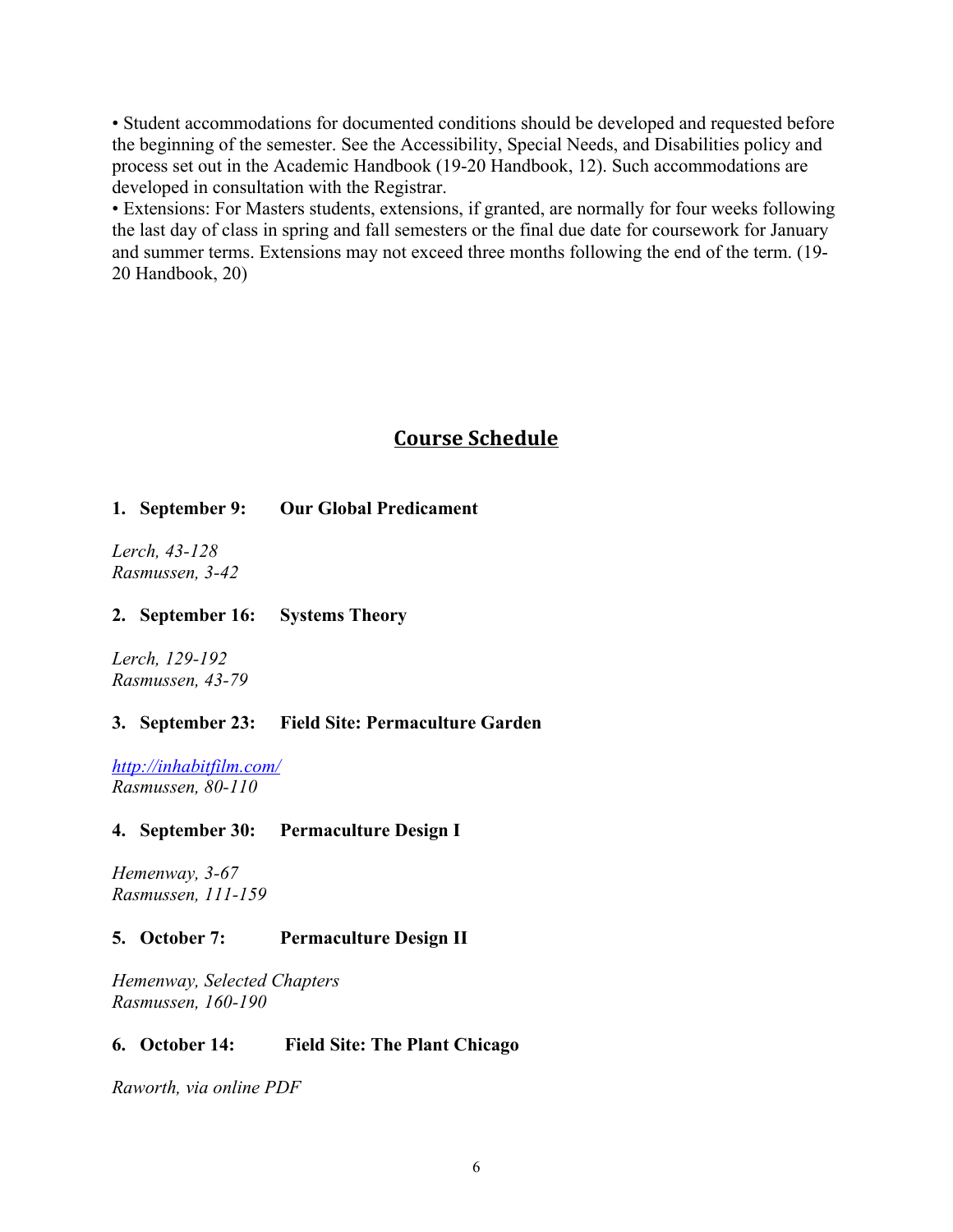• Student accommodations for documented conditions should be developed and requested before the beginning of the semester. See the Accessibility, Special Needs, and Disabilities policy and process set out in the Academic Handbook (19-20 Handbook, 12). Such accommodations are developed in consultation with the Registrar.

• Extensions: For Masters students, extensions, if granted, are normally for four weeks following the last day of class in spring and fall semesters or the final due date for coursework for January and summer terms. Extensions may not exceed three months following the end of the term. (19- 20 Handbook, 20)

# **Course Schedule**

### **1. September 9: Our Global Predicament**

*Lerch, 43-128 Rasmussen, 3-42*

#### **2. September 16: Systems Theory**

*Lerch, 129-192 Rasmussen, 43-79* 

### **3. September 23: Field Site: Permaculture Garden**

*http://inhabitfilm.com/ Rasmussen, 80-110* 

#### **4. September 30: Permaculture Design I**

*Hemenway, 3-67 Rasmussen, 111-159* 

### **5. October 7: Permaculture Design II**

*Hemenway, Selected Chapters Rasmussen, 160-190* 

#### **6. October 14: Field Site: The Plant Chicago**

*Raworth, via online PDF*